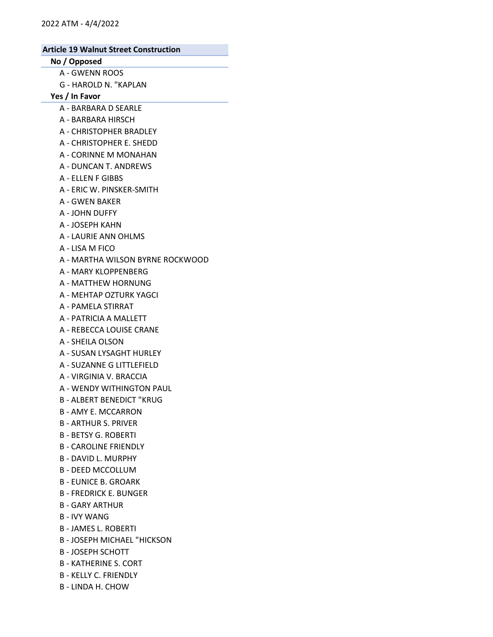# No / Opposed

- A GWENN ROOS
- G HAROLD N. "KAPLAN

### Yes / In Favor

- A BARBARA D SEARLE
- A BARBARA HIRSCH
- A CHRISTOPHER BRADLEY
- A CHRISTOPHER E. SHEDD
- A CORINNE M MONAHAN
- A DUNCAN T. ANDREWS
- A ELLEN F GIBBS
- A ERIC W. PINSKER-SMITH
- A GWEN BAKER
- A JOHN DUFFY
- A JOSEPH KAHN
- A LAURIE ANN OHLMS
- A LISA M FICO
- A MARTHA WILSON BYRNE ROCKWOOD
- A MARY KLOPPENBERG
- A MATTHEW HORNUNG
- A MEHTAP OZTURK YAGCI
- A PAMELA STIRRAT
- A PATRICIA A MALLETT
- A REBECCA LOUISE CRANE
- A SHEILA OLSON
- A SUSAN LYSAGHT HURLEY
- A SUZANNE G LITTLEFIELD
- A VIRGINIA V. BRACCIA
- A WENDY WITHINGTON PAUL
- B ALBERT BENEDICT "KRUG
- B AMY E. MCCARRON
- B ARTHUR S. PRIVER
- B BETSY G. ROBERTI
- B CAROLINE FRIENDLY
- B DAVID L. MURPHY
- B DEED MCCOLLUM
- B EUNICE B. GROARK
- B FREDRICK E. BUNGER
- B GARY ARTHUR
- B IVY WANG
- B JAMES L. ROBERTI
- B JOSEPH MICHAEL "HICKSON
- B JOSEPH SCHOTT
- B KATHERINE S. CORT
- B KELLY C. FRIENDLY
- B LINDA H. CHOW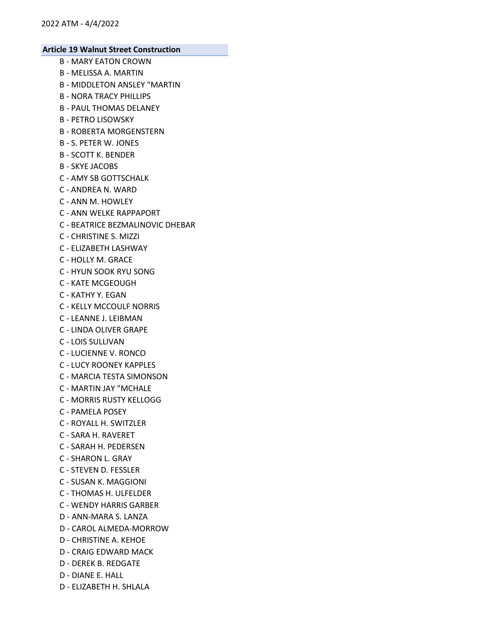- B MARY EATON CROWN
- B MELISSA A. MARTIN
- B MIDDLETON ANSLEY "MARTIN
- B NORA TRACY PHILLIPS
- B PAUL THOMAS DELANEY
- B PETRO LISOWSKY
- B ROBERTA MORGENSTERN
- B S. PETER W. JONES
- B SCOTT K. BENDER
- B SKYE JACOBS
- C AMY SB GOTTSCHALK
- C ANDREA N. WARD
- C ANN M. HOWLEY
- C ANN WELKE RAPPAPORT
- C BEATRICE BEZMALINOVIC DHEBAR
- C CHRISTINE S. MIZZI
- C ELIZABETH LASHWAY
- C HOLLY M. GRACE
- C HYUN SOOK RYU SONG
- C KATE MCGEOUGH
- C KATHY Y. EGAN
- C KELLY MCCOULF NORRIS
- C LEANNE J. LEIBMAN
- C LINDA OLIVER GRAPE
- C LOIS SULLIVAN
- C LUCIENNE V. RONCO
- C LUCY ROONEY KAPPLES
- C MARCIA TESTA SIMONSON
- C MARTIN JAY "MCHALE
- C MORRIS RUSTY KELLOGG
- C PAMELA POSEY
- C ROYALL H. SWITZLER
- C SARA H. RAVERET
- C SARAH H. PEDERSEN
- C SHARON L. GRAY
- C STEVEN D. FESSLER
- C SUSAN K. MAGGIONI
- C THOMAS H. ULFELDER
- C WENDY HARRIS GARBER
- D ANN-MARA S. LANZA
- D CAROL ALMEDA-MORROW
- D CHRISTINE A. KEHOE
- D CRAIG EDWARD MACK
- D DEREK B. REDGATE
- D DIANE E. HALL
- D ELIZABETH H. SHLALA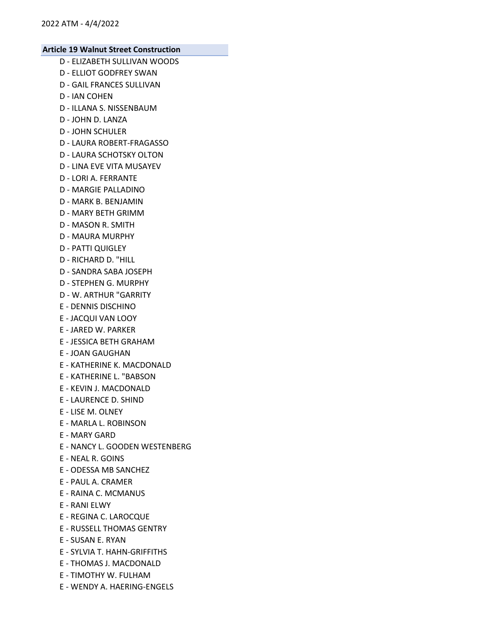- D ELIZABETH SULLIVAN WOODS
- D ELLIOT GODFREY SWAN
- D GAIL FRANCES SULLIVAN
- D IAN COHEN
- D ILLANA S. NISSENBAUM
- D JOHN D. LANZA
- D JOHN SCHULER
- D LAURA ROBERT-FRAGASSO
- D LAURA SCHOTSKY OLTON
- D LINA EVE VITA MUSAYEV
- D LORI A. FERRANTE
- D MARGIE PALLADINO
- D MARK B. BENJAMIN
- D MARY BETH GRIMM
- D MASON R. SMITH
- D MAURA MURPHY
- D PATTI QUIGLEY
- D RICHARD D. "HILL
- D SANDRA SABA JOSEPH
- D STEPHEN G. MURPHY
- D W. ARTHUR "GARRITY
- E DENNIS DISCHINO
- E JACQUI VAN LOOY
- E JARED W. PARKER
- E JESSICA BETH GRAHAM
- E JOAN GAUGHAN
- E KATHERINE K. MACDONALD
- E KATHERINE L. "BABSON
- E KEVIN J. MACDONALD
- E LAURENCE D. SHIND
- E LISE M. OLNEY
- E MARLA L. ROBINSON
- E MARY GARD
- E NANCY L. GOODEN WESTENBERG
- E NEAL R. GOINS
- E ODESSA MB SANCHEZ
- E PAUL A. CRAMER
- E RAINA C. MCMANUS
- E RANI ELWY
- E REGINA C. LAROCQUE
- E RUSSELL THOMAS GENTRY
- E SUSAN E. RYAN
- E SYLVIA T. HAHN-GRIFFITHS
- E THOMAS J. MACDONALD
- E TIMOTHY W. FULHAM
- E WENDY A. HAERING-ENGELS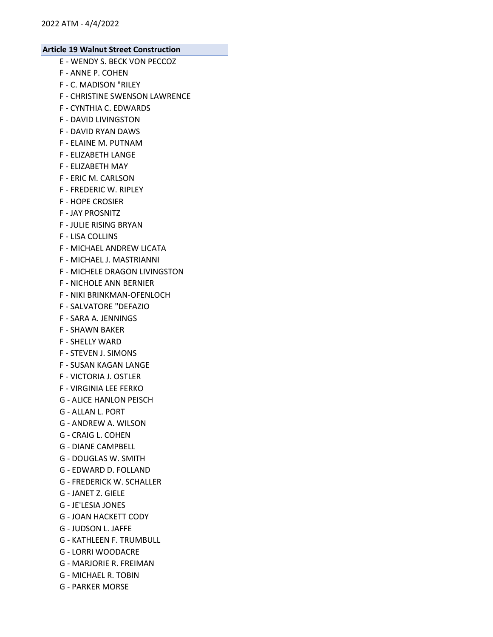- E WENDY S. BECK VON PECCOZ
- F ANNE P. COHEN
- F C. MADISON "RILEY
- F CHRISTINE SWENSON LAWRENCE
- F CYNTHIA C. EDWARDS
- F DAVID LIVINGSTON
- F DAVID RYAN DAWS
- F ELAINE M. PUTNAM
- F ELIZABETH LANGE
- F ELIZABETH MAY
- F ERIC M. CARLSON
- F FREDERIC W. RIPLEY
- F HOPE CROSIER
- F JAY PROSNITZ
- F JULIE RISING BRYAN
- F LISA COLLINS
- F MICHAEL ANDREW LICATA
- F MICHAEL J. MASTRIANNI
- F MICHELE DRAGON LIVINGSTON
- F NICHOLE ANN BERNIER
- F NIKI BRINKMAN-OFENLOCH
- F SALVATORE "DEFAZIO
- F SARA A. JENNINGS
- F SHAWN BAKER
- F SHELLY WARD
- F STEVEN J. SIMONS
- F SUSAN KAGAN LANGE
- F VICTORIA J. OSTLER
- F VIRGINIA LEE FERKO
- G ALICE HANLON PEISCH
- G ALLAN L. PORT
- G ANDREW A. WILSON
- G CRAIG L. COHEN
- G DIANE CAMPBELL
- G DOUGLAS W. SMITH
- G EDWARD D. FOLLAND
- G FREDERICK W. SCHALLER
- G JANET Z. GIELE
- G JE'LESIA JONES
- G JOAN HACKETT CODY
- G JUDSON L. JAFFE
- G KATHLEEN F. TRUMBULL
- G LORRI WOODACRE
- G MARJORIE R. FREIMAN
- G MICHAEL R. TOBIN
- G PARKER MORSE